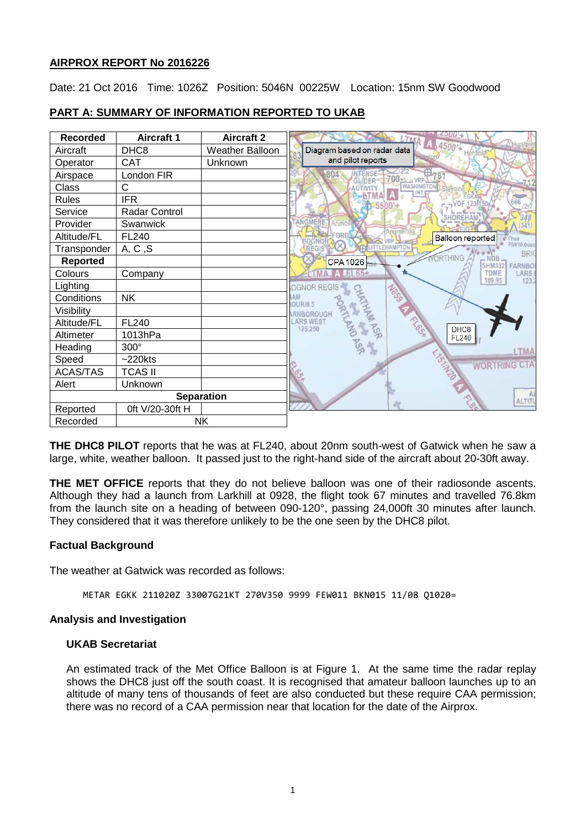## **AIRPROX REPORT No 2016226**

Date: 21 Oct 2016 Time: 1026Z Position: 5046N 00225W Location: 15nm SW Goodwood

| <b>Recorded</b>   | <b>Aircraft 1</b> | <b>Aircraft 2</b>      |                                                                      |
|-------------------|-------------------|------------------------|----------------------------------------------------------------------|
| Aircraft          | DHC <sub>8</sub>  | <b>Weather Balloon</b> | 4,45007<br>Diagram based on radar data                               |
| Operator          | <b>CAT</b>        | Unknown                | and pilot reports                                                    |
| Airspace          | London FIR        |                        | 804<br><b>INTENSE</b><br>700<br><b>GLIDER</b>                        |
| Class             | C                 |                        | <b>WASHINGTON</b><br><b>ACTIVITY</b>                                 |
| <b>Rules</b>      | <b>IFR</b>        |                        | 666<br>500                                                           |
| Service           | Radar Control     |                        | SHOREHAN                                                             |
| Provider          | Swanwick          |                        | <b>FANGMER</b><br>Arunde                                             |
| Altitude/FL       | <b>FL240</b>      |                        | Angmerin<br>FORD<br><b>Balloon reported</b><br><b>Thse</b>           |
| Transponder       | A, C, S           |                        | FIW10.0ser<br>EHAMPTON<br><b>REGIS</b><br><b>BRI</b>                 |
| <b>Reported</b>   |                   |                        | <b>ORTHING</b><br>- NDB<br><b>CPA1026</b><br>FARNBO<br><b>SHM332</b> |
| Colours           | Company           |                        | LARS<br><b>TDME</b><br>109.95                                        |
| Lighting          |                   |                        | 123.<br>OGNOR REGIS                                                  |
| Conditions        | <b>NK</b>         |                        | GOSO<br><b>AM</b><br>OUR/0.5                                         |
| Visibility        |                   |                        | RNBOROUGH                                                            |
| Altitude/FL       | FL240             |                        | <b>LARS WEST</b><br>125.250<br>DHC <sub>8</sub>                      |
| Altimeter         | 1013hPa           |                        | <b>ASK</b><br><b>FL240</b>                                           |
| Heading           | 300°              |                        | <b>LTMA</b>                                                          |
| Speed             | $~220$ kts        |                        | <b>WORTHING CTA</b>                                                  |
| <b>ACAS/TAS</b>   | <b>TCAS II</b>    |                        |                                                                      |
| Alert             | Unknown           |                        |                                                                      |
| <b>Separation</b> |                   |                        | A<br>ALTIT                                                           |
| Reported          | 0ft V/20-30ft H   |                        |                                                                      |
| Recorded          |                   | <b>NK</b>              |                                                                      |

## **PART A: SUMMARY OF INFORMATION REPORTED TO UKAB**

**THE DHC8 PILOT** reports that he was at FL240, about 20nm south-west of Gatwick when he saw a large, white, weather balloon. It passed just to the right-hand side of the aircraft about 20-30ft away.

**THE MET OFFICE** reports that they do not believe balloon was one of their radiosonde ascents. Although they had a launch from Larkhill at 0928, the flight took 67 minutes and travelled 76.8km from the launch site on a heading of between 090-120°, passing 24,000ft 30 minutes after launch. They considered that it was therefore unlikely to be the one seen by the DHC8 pilot.

## **Factual Background**

The weather at Gatwick was recorded as follows:

METAR EGKK 211020Z 33007G21KT 270V350 9999 FEW011 BKN015 11/08 Q1020=

#### **Analysis and Investigation**

### **UKAB Secretariat**

An estimated track of the Met Office Balloon is at Figure 1. At the same time the radar replay shows the DHC8 just off the south coast. It is recognised that amateur balloon launches up to an altitude of many tens of thousands of feet are also conducted but these require CAA permission; there was no record of a CAA permission near that location for the date of the Airprox.